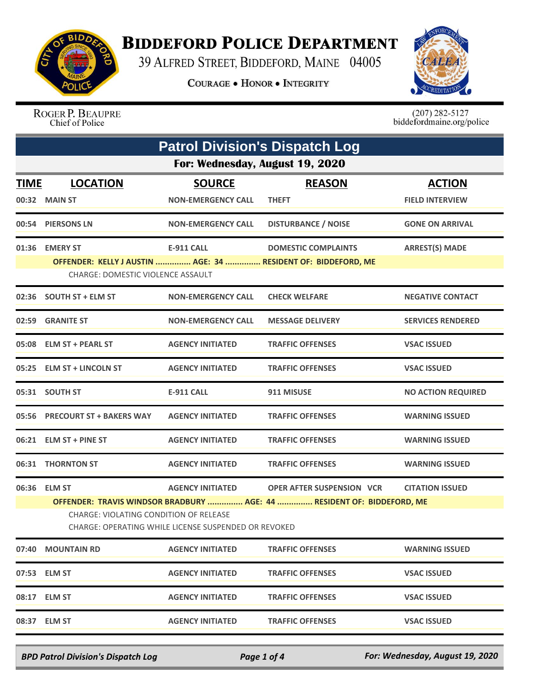

## **BIDDEFORD POLICE DEPARTMENT**

39 ALFRED STREET, BIDDEFORD, MAINE 04005

**COURAGE . HONOR . INTEGRITY** 



ROGER P. BEAUPRE Chief of Police

 $(207)$  282-5127<br>biddefordmaine.org/police

|                                        | <b>Patrol Division's Dispatch Log</b>                                  |                                                      |                                                               |                           |  |
|----------------------------------------|------------------------------------------------------------------------|------------------------------------------------------|---------------------------------------------------------------|---------------------------|--|
| For: Wednesday, August 19, 2020        |                                                                        |                                                      |                                                               |                           |  |
| <u>TIME</u>                            | <b>LOCATION</b>                                                        | <b>SOURCE</b>                                        | <b>REASON</b>                                                 | <b>ACTION</b>             |  |
|                                        | 00:32 MAIN ST                                                          | <b>NON-EMERGENCY CALL</b>                            | <b>THEFT</b>                                                  | <b>FIELD INTERVIEW</b>    |  |
|                                        | 00:54 PIERSONS LN                                                      | <b>NON-EMERGENCY CALL</b>                            | <b>DISTURBANCE / NOISE</b>                                    | <b>GONE ON ARRIVAL</b>    |  |
|                                        | 01:36 EMERY ST                                                         | E-911 CALL                                           | <b>DOMESTIC COMPLAINTS</b>                                    | <b>ARREST(S) MADE</b>     |  |
|                                        |                                                                        |                                                      | OFFENDER: KELLY J AUSTIN  AGE: 34  RESIDENT OF: BIDDEFORD, ME |                           |  |
|                                        | CHARGE: DOMESTIC VIOLENCE ASSAULT                                      |                                                      |                                                               |                           |  |
|                                        | 02:36 SOUTH ST + ELM ST                                                | <b>NON-EMERGENCY CALL</b>                            | <b>CHECK WELFARE</b>                                          | <b>NEGATIVE CONTACT</b>   |  |
|                                        | 02:59 GRANITE ST                                                       | <b>NON-EMERGENCY CALL</b>                            | <b>MESSAGE DELIVERY</b>                                       | <b>SERVICES RENDERED</b>  |  |
|                                        | 05:08 ELM ST + PEARL ST                                                | <b>AGENCY INITIATED</b>                              | <b>TRAFFIC OFFENSES</b>                                       | <b>VSAC ISSUED</b>        |  |
|                                        | 05:25 ELM ST + LINCOLN ST                                              | <b>AGENCY INITIATED</b>                              | <b>TRAFFIC OFFENSES</b>                                       | <b>VSAC ISSUED</b>        |  |
|                                        | 05:31 SOUTH ST                                                         | <b>E-911 CALL</b>                                    | 911 MISUSE                                                    | <b>NO ACTION REQUIRED</b> |  |
|                                        | 05:56 PRECOURT ST + BAKERS WAY                                         | <b>AGENCY INITIATED</b>                              | <b>TRAFFIC OFFENSES</b>                                       | <b>WARNING ISSUED</b>     |  |
|                                        | 06:21 ELM ST + PINE ST                                                 | <b>AGENCY INITIATED</b>                              | <b>TRAFFIC OFFENSES</b>                                       | <b>WARNING ISSUED</b>     |  |
|                                        | 06:31 THORNTON ST                                                      | <b>AGENCY INITIATED</b>                              | <b>TRAFFIC OFFENSES</b>                                       | <b>WARNING ISSUED</b>     |  |
|                                        | 06:36 ELM ST                                                           | <b>AGENCY INITIATED</b>                              | OPER AFTER SUSPENSION VCR                                     | <b>CITATION ISSUED</b>    |  |
|                                        | OFFENDER: TRAVIS WINDSOR BRADBURY  AGE: 44  RESIDENT OF: BIDDEFORD, ME |                                                      |                                                               |                           |  |
| CHARGE: VIOLATING CONDITION OF RELEASE |                                                                        |                                                      |                                                               |                           |  |
|                                        |                                                                        | CHARGE: OPERATING WHILE LICENSE SUSPENDED OR REVOKED |                                                               |                           |  |
|                                        | 07:40 MOUNTAIN RD                                                      | <b>AGENCY INITIATED</b>                              | <b>TRAFFIC OFFENSES</b>                                       | <b>WARNING ISSUED</b>     |  |
|                                        | 07:53 ELM ST                                                           | <b>AGENCY INITIATED</b>                              | <b>TRAFFIC OFFENSES</b>                                       | <b>VSAC ISSUED</b>        |  |
|                                        | 08:17 ELM ST                                                           | <b>AGENCY INITIATED</b>                              | <b>TRAFFIC OFFENSES</b>                                       | <b>VSAC ISSUED</b>        |  |
|                                        | 08:37 ELM ST                                                           | <b>AGENCY INITIATED</b>                              | <b>TRAFFIC OFFENSES</b>                                       | <b>VSAC ISSUED</b>        |  |
|                                        |                                                                        |                                                      |                                                               |                           |  |

*BPD Patrol Division's Dispatch Log Page 1 of 4 For: Wednesday, August 19, 2020*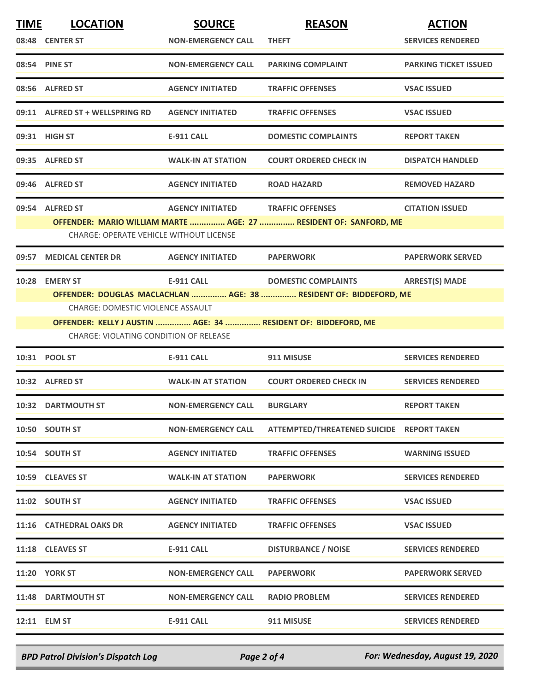| <b>TIME</b> | <b>LOCATION</b>                                | <b>SOURCE</b>                     | <b>REASON</b>                                                     | <b>ACTION</b>                |
|-------------|------------------------------------------------|-----------------------------------|-------------------------------------------------------------------|------------------------------|
|             | 08:48 CENTER ST                                | <b>NON-EMERGENCY CALL</b>         | <b>THEFT</b>                                                      | <b>SERVICES RENDERED</b>     |
|             | 08:54 PINE ST                                  | <b>NON-EMERGENCY CALL</b>         | <b>PARKING COMPLAINT</b>                                          | <b>PARKING TICKET ISSUED</b> |
|             | 08:56 ALFRED ST                                | <b>AGENCY INITIATED</b>           | <b>TRAFFIC OFFENSES</b>                                           | <b>VSAC ISSUED</b>           |
|             | 09:11 ALFRED ST + WELLSPRING RD                | <b>AGENCY INITIATED</b>           | <b>TRAFFIC OFFENSES</b>                                           | <b>VSAC ISSUED</b>           |
|             | 09:31 HIGH ST                                  | E-911 CALL                        | <b>DOMESTIC COMPLAINTS</b>                                        | <b>REPORT TAKEN</b>          |
|             | 09:35 ALFRED ST                                | <b>WALK-IN AT STATION</b>         | <b>COURT ORDERED CHECK IN</b>                                     | <b>DISPATCH HANDLED</b>      |
|             | 09:46 ALFRED ST                                | <b>AGENCY INITIATED</b>           | <b>ROAD HAZARD</b>                                                | <b>REMOVED HAZARD</b>        |
|             | 09:54 ALFRED ST                                | AGENCY INITIATED TRAFFIC OFFENSES |                                                                   | <b>CITATION ISSUED</b>       |
|             |                                                |                                   | OFFENDER: MARIO WILLIAM MARTE  AGE: 27  RESIDENT OF: SANFORD, ME  |                              |
|             | <b>CHARGE: OPERATE VEHICLE WITHOUT LICENSE</b> |                                   |                                                                   |                              |
| 09:57       | <b>MEDICAL CENTER DR</b>                       | <b>AGENCY INITIATED</b>           | <b>PAPERWORK</b>                                                  | <b>PAPERWORK SERVED</b>      |
|             | 10:28 EMERY ST                                 | E-911 CALL                        | <b>DOMESTIC COMPLAINTS</b>                                        | <b>ARREST(S) MADE</b>        |
|             |                                                |                                   | OFFENDER: DOUGLAS MACLACHLAN  AGE: 38  RESIDENT OF: BIDDEFORD, ME |                              |
|             | <b>CHARGE: DOMESTIC VIOLENCE ASSAULT</b>       |                                   |                                                                   |                              |
|             | CHARGE: VIOLATING CONDITION OF RELEASE         |                                   | OFFENDER: KELLY J AUSTIN  AGE: 34  RESIDENT OF: BIDDEFORD, ME     |                              |
|             |                                                |                                   |                                                                   |                              |
|             | 10:31 POOL ST                                  | E-911 CALL                        | 911 MISUSE                                                        | <b>SERVICES RENDERED</b>     |
|             | 10:32 ALFRED ST                                | <b>WALK-IN AT STATION</b>         | <b>COURT ORDERED CHECK IN</b>                                     | <b>SERVICES RENDERED</b>     |
|             | 10:32 DARTMOUTH ST                             | NON-EMERGENCY CALL BURGLARY       |                                                                   | <b>REPORT TAKEN</b>          |
|             | 10:50 SOUTH ST                                 | <b>NON-EMERGENCY CALL</b>         | ATTEMPTED/THREATENED SUICIDE REPORT TAKEN                         |                              |
|             | 10:54 SOUTH ST                                 | <b>AGENCY INITIATED</b>           | <b>TRAFFIC OFFENSES</b>                                           | <b>WARNING ISSUED</b>        |
|             | 10:59 CLEAVES ST                               | <b>WALK-IN AT STATION</b>         | <b>PAPERWORK</b>                                                  | <b>SERVICES RENDERED</b>     |
|             | 11:02 SOUTH ST                                 | <b>AGENCY INITIATED</b>           | <b>TRAFFIC OFFENSES</b>                                           | <b>VSAC ISSUED</b>           |
|             | 11:16 CATHEDRAL OAKS DR                        | <b>AGENCY INITIATED</b>           | <b>TRAFFIC OFFENSES</b>                                           | <b>VSAC ISSUED</b>           |
|             | 11:18 CLEAVES ST                               | E-911 CALL                        | <b>DISTURBANCE / NOISE</b>                                        | <b>SERVICES RENDERED</b>     |
|             | <b>11:20 YORK ST</b>                           | <b>NON-EMERGENCY CALL</b>         | <b>PAPERWORK</b>                                                  | <b>PAPERWORK SERVED</b>      |
|             | 11:48 DARTMOUTH ST                             | <b>NON-EMERGENCY CALL</b>         | <b>RADIO PROBLEM</b>                                              | <b>SERVICES RENDERED</b>     |
|             | 12:11 ELM ST                                   | E-911 CALL                        | 911 MISUSE                                                        | <b>SERVICES RENDERED</b>     |
|             |                                                |                                   |                                                                   |                              |

*BPD Patrol Division's Dispatch Log Page 2 of 4 For: Wednesday, August 19, 2020*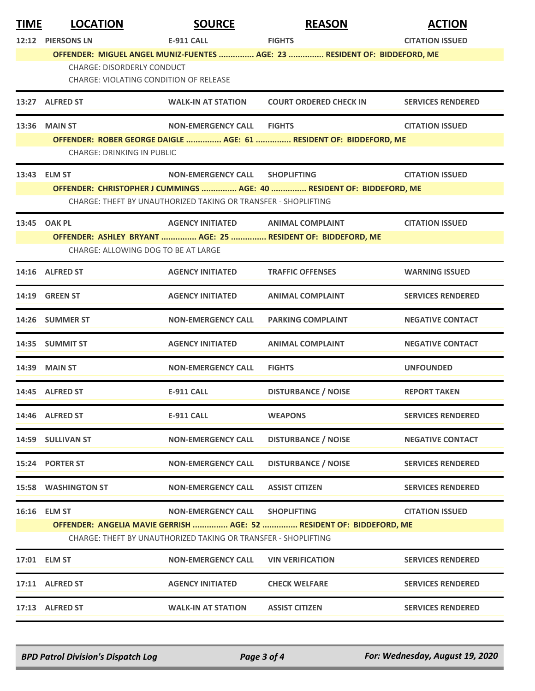| <b>TIME</b>                                                    | <b>LOCATION</b>                                                                                                                         | <b>SOURCE</b>                     | <b>REASON</b>                                                             | <b>ACTION</b>            |  |
|----------------------------------------------------------------|-----------------------------------------------------------------------------------------------------------------------------------------|-----------------------------------|---------------------------------------------------------------------------|--------------------------|--|
|                                                                | 12:12 PIERSONS LN                                                                                                                       | <b>E-911 CALL</b>                 | <b>FIGHTS</b>                                                             | <b>CITATION ISSUED</b>   |  |
|                                                                | <b>CHARGE: DISORDERLY CONDUCT</b><br><b>CHARGE: VIOLATING CONDITION OF RELEASE</b>                                                      |                                   | OFFENDER: MIGUEL ANGEL MUNIZ-FUENTES  AGE: 23  RESIDENT OF: BIDDEFORD, ME |                          |  |
|                                                                | 13:27 ALFRED ST                                                                                                                         | <b>WALK-IN AT STATION</b>         | <b>COURT ORDERED CHECK IN</b>                                             | <b>SERVICES RENDERED</b> |  |
|                                                                | 13:36 MAIN ST                                                                                                                           | NON-EMERGENCY CALL FIGHTS         |                                                                           | <b>CITATION ISSUED</b>   |  |
|                                                                | CHARGE: DRINKING IN PUBLIC                                                                                                              |                                   | OFFENDER: ROBER GEORGE DAIGLE  AGE: 61  RESIDENT OF: BIDDEFORD, ME        |                          |  |
|                                                                |                                                                                                                                         |                                   |                                                                           |                          |  |
|                                                                | 13:43 ELM ST                                                                                                                            | <b>NON-EMERGENCY CALL</b>         | <b>SHOPLIFTING</b>                                                        | <b>CITATION ISSUED</b>   |  |
|                                                                | OFFENDER: CHRISTOPHER J CUMMINGS  AGE: 40  RESIDENT OF: BIDDEFORD, ME<br>CHARGE: THEFT BY UNAUTHORIZED TAKING OR TRANSFER - SHOPLIFTING |                                   |                                                                           |                          |  |
|                                                                | 13:45 OAK PL                                                                                                                            | AGENCY INITIATED ANIMAL COMPLAINT |                                                                           | <b>CITATION ISSUED</b>   |  |
|                                                                |                                                                                                                                         |                                   | OFFENDER: ASHLEY BRYANT  AGE: 25  RESIDENT OF: BIDDEFORD, ME              |                          |  |
|                                                                | CHARGE: ALLOWING DOG TO BE AT LARGE                                                                                                     |                                   |                                                                           |                          |  |
|                                                                | 14:16 ALFRED ST                                                                                                                         | <b>AGENCY INITIATED</b>           | <b>TRAFFIC OFFENSES</b>                                                   | <b>WARNING ISSUED</b>    |  |
|                                                                | 14:19 GREEN ST                                                                                                                          | <b>AGENCY INITIATED</b>           | <b>ANIMAL COMPLAINT</b>                                                   | <b>SERVICES RENDERED</b> |  |
|                                                                | 14:26 SUMMER ST                                                                                                                         | <b>NON-EMERGENCY CALL</b>         | <b>PARKING COMPLAINT</b>                                                  | <b>NEGATIVE CONTACT</b>  |  |
|                                                                | 14:35 SUMMIT ST                                                                                                                         | <b>AGENCY INITIATED</b>           | <b>ANIMAL COMPLAINT</b>                                                   | <b>NEGATIVE CONTACT</b>  |  |
|                                                                | 14:39 MAIN ST                                                                                                                           | <b>NON-EMERGENCY CALL</b>         | <b>FIGHTS</b>                                                             | <b>UNFOUNDED</b>         |  |
|                                                                | 14:45 ALFRED ST                                                                                                                         | <b>E-911 CALL</b>                 | <b>DISTURBANCE / NOISE</b>                                                | <b>REPORT TAKEN</b>      |  |
|                                                                | 14:46 ALFRED ST                                                                                                                         | <b>E-911 CALL</b>                 | <b>WEAPONS</b>                                                            | <b>SERVICES RENDERED</b> |  |
|                                                                | 14:59 SULLIVAN ST                                                                                                                       | <b>NON-EMERGENCY CALL</b>         | <b>DISTURBANCE / NOISE</b>                                                | <b>NEGATIVE CONTACT</b>  |  |
|                                                                | 15:24 PORTER ST                                                                                                                         | <b>NON-EMERGENCY CALL</b>         | <b>DISTURBANCE / NOISE</b>                                                | <b>SERVICES RENDERED</b> |  |
|                                                                | <b>15:58 WASHINGTON ST</b>                                                                                                              | <b>NON-EMERGENCY CALL</b>         | <b>ASSIST CITIZEN</b>                                                     | <b>SERVICES RENDERED</b> |  |
|                                                                | 16:16 ELM ST                                                                                                                            | <b>NON-EMERGENCY CALL</b>         | <b>SHOPLIFTING</b>                                                        | <b>CITATION ISSUED</b>   |  |
|                                                                |                                                                                                                                         |                                   | OFFENDER: ANGELIA MAVIE GERRISH  AGE: 52  RESIDENT OF: BIDDEFORD, ME      |                          |  |
| CHARGE: THEFT BY UNAUTHORIZED TAKING OR TRANSFER - SHOPLIFTING |                                                                                                                                         |                                   |                                                                           |                          |  |
|                                                                | 17:01 ELM ST                                                                                                                            | <b>NON-EMERGENCY CALL</b>         | <b>VIN VERIFICATION</b>                                                   | <b>SERVICES RENDERED</b> |  |
|                                                                | 17:11 ALFRED ST                                                                                                                         | <b>AGENCY INITIATED</b>           | <b>CHECK WELFARE</b>                                                      | <b>SERVICES RENDERED</b> |  |
|                                                                | 17:13 ALFRED ST                                                                                                                         | <b>WALK-IN AT STATION</b>         | <b>ASSIST CITIZEN</b>                                                     | <b>SERVICES RENDERED</b> |  |

*BPD Patrol Division's Dispatch Log Page 3 of 4 For: Wednesday, August 19, 2020*